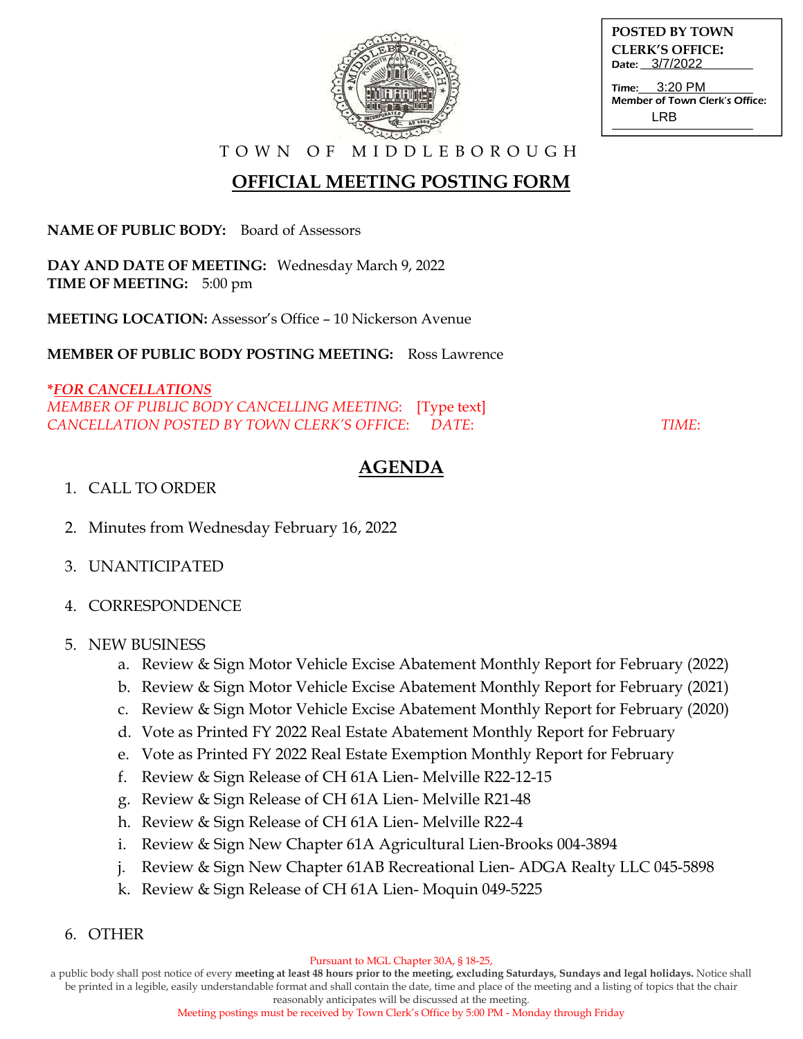

**POSTED BY TOWN CLERK'S OFFICE:** Date: 3/7/2022

Time: Member of Town Clerk's Office: 3:20 PM LRB

T O W N O F M I D D L E B O R O U G H

# **OFFICIAL MEETING POSTING FORM**

**NAME OF PUBLIC BODY:** Board of Assessors

**DAY AND DATE OF MEETING:** Wednesday March 9, 2022 **TIME OF MEETING:** 5:00 pm

**MEETING LOCATION:** Assessor's Office – 10 Nickerson Avenue

**MEMBER OF PUBLIC BODY POSTING MEETING:** Ross Lawrence

### **\****FOR CANCELLATIONS MEMBER OF PUBLIC BODY CANCELLING MEETING*: [Type text]

*CANCELLATION POSTED BY TOWN CLERK'S OFFICE*: *DATE*: *TIME*:

## **AGENDA**

#### 1. CALL TO ORDER

- 2. Minutes from Wednesday February 16, 2022
- 3. UNANTICIPATED
- 4. CORRESPONDENCE

#### 5. NEW BUSINESS

- a. Review & Sign Motor Vehicle Excise Abatement Monthly Report for February (2022)
- b. Review & Sign Motor Vehicle Excise Abatement Monthly Report for February (2021)
- c. Review & Sign Motor Vehicle Excise Abatement Monthly Report for February (2020)
- d. Vote as Printed FY 2022 Real Estate Abatement Monthly Report for February
- e. Vote as Printed FY 2022 Real Estate Exemption Monthly Report for February
- f. Review & Sign Release of CH 61A Lien- Melville R22-12-15
- g. Review & Sign Release of CH 61A Lien- Melville R21-48
- h. Review & Sign Release of CH 61A Lien- Melville R22-4
- i. Review & Sign New Chapter 61A Agricultural Lien-Brooks 004-3894
- j. Review & Sign New Chapter 61AB Recreational Lien- ADGA Realty LLC 045-5898
- k. Review & Sign Release of CH 61A Lien- Moquin 049-5225
- 6. OTHER

a public body shall post notice of every **meeting at least 48 hours prior to the meeting, excluding Saturdays, Sundays and legal holidays.** Notice shall be printed in a legible, easily understandable format and shall contain the date, time and place of the meeting and a listing of topics that the chair

reasonably anticipates will be discussed at the meeting. Meeting postings must be received by Town Clerk's Office by 5:00 PM - Monday through Friday